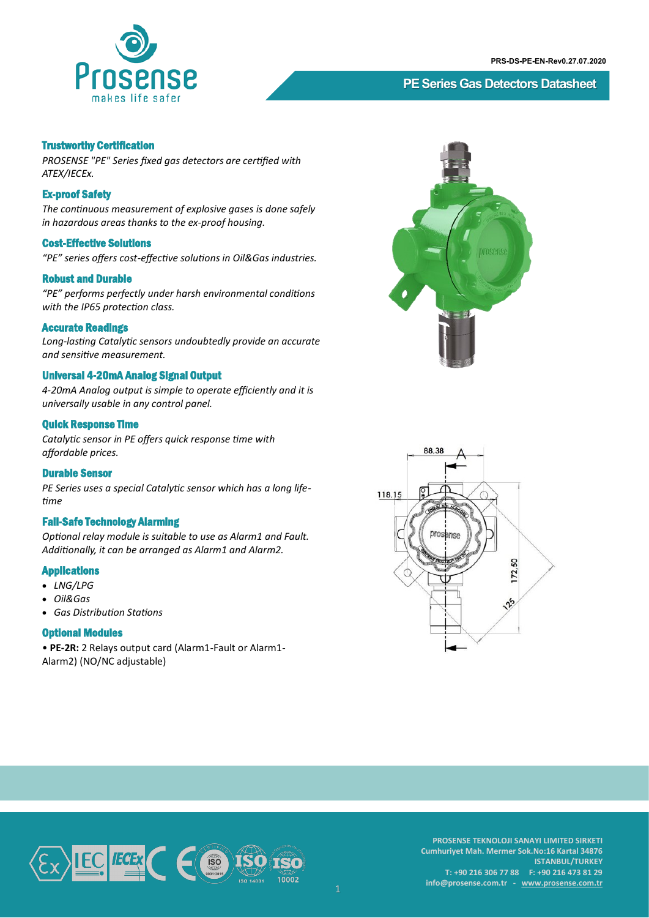

# **PE Series Gas Detectors Datasheet**

### Trustworthy Certification

*PROSENSE "PE" Series fixed gas detectors are certified with ATEX/IECEx.* 

### Ex-proof Safety

*The continuous measurement of explosive gases is done safely in hazardous areas thanks to the ex-proof housing.*

### Cost-Effective Solutions

*"PE" series offers cost-effective solutions in Oil&Gas industries.* 

#### Robust and Durable

*"PE" performs perfectly under harsh environmental conditions with the IP65 protection class.*

### Accurate Readings

*Long-lasting Catalytic sensors undoubtedly provide an accurate and sensitive measurement.* 

### Universal 4-20mA Analog Signal Output

*4-20mA Analog output is simple to operate efficiently and it is universally usable in any control panel.*

## Quick Response Time

*Catalytic sensor in PE offers quick response time with affordable prices.*

### Durable Sensor

*PE Series uses a special Catalytic sensor which has a long lifetime*

### Fail-Safe Technology Alarming

*Optional relay module is suitable to use as Alarm1 and Fault. Additionally, it can be arranged as Alarm1 and Alarm2.* 

### Applications

- *LNG/LPG*
- *Oil&Gas*
- *Gas Distribution Stations*

#### Optional Modules

• **PE-2R:** 2 Relays output card (Alarm1-Fault or Alarm1- Alarm2) (NO/NC adjustable)







**PROSENSE TEKNOLOJI SANAYI LIMITED SIRKETI Cumhuriyet Mah. Mermer Sok.No:16 Kartal 34876 ISTANBUL/TURKEY T: +90 216 306 77 88 F: +90 216 473 81 29 info@prosense.com.tr - [www.prosense.com.tr](http://www.prosense.com.tr)**